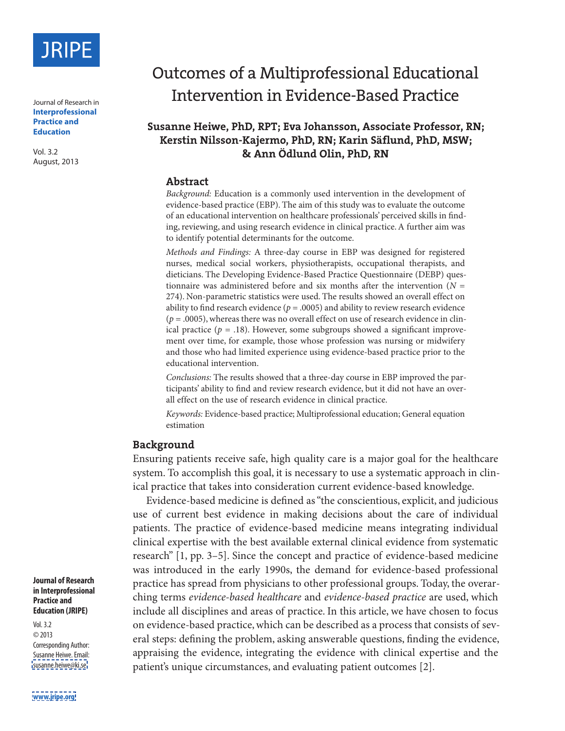

Journal of Research in **Interprofessional Practice and Education**

Vol. 3.2 August, 2013

# Outcomes of a Multiprofessional Educational Intervention in Evidence-Based Practice

# **Susanne Heiwe, PhD, RPT; Eva Johansson, Associate Professor, RN; Kerstin Nilsson-Kajermo, PhD, RN; Karin Säflund, PhD, MSW; & Ann Ödlund Olin, PhD, RN**

#### **Abstract**

*Background:* Education is a commonly used intervention in the development of evidence-based practice (EBP). The aim of this study was to evaluate the outcome of an educational intervention on healthcare professionals' perceived skills in finding, reviewing, and using research evidence in clinical practice. A further aim was to identify potential determinants for the outcome.

*Methods and Findings:* A three-day course in EBP was designed for registered nurses, medical social workers, physiotherapists, occupational therapists, and dieticians. The Developing Evidence-Based Practice Questionnaire (DEBP) questionnaire was administered before and six months after the intervention ( $N =$ 274). Non-parametric statistics were used. The results showed an overall effect on ability to find research evidence ( $p = .0005$ ) and ability to review research evidence  $(p = .0005)$ , whereas there was no overall effect on use of research evidence in clinical practice ( $p = .18$ ). However, some subgroups showed a significant improvement over time, for example, those whose profession was nursing or midwifery and those who had limited experience using evidence-based practice prior to the educational intervention.

*Conclusions:* The results showed that a three-day course in EBP improved the participants' ability to find and review research evidence, but it did not have an overall effect on the use of research evidence in clinical practice.

*Keywords:* Evidence-based practice; Multiprofessional education; General equation estimation

#### **Background**

Ensuring patients receive safe, high quality care is a major goal for the healthcare system. To accomplish this goal, it is necessary to use a systematic approach in clinical practice that takes into consideration current evidence-based knowledge.

Evidence-based medicine is defined as"the conscientious, explicit, and judicious use of current best evidence in making decisions about the care of individual patients. The practice of evidence-based medicine means integrating individual clinical expertise with the best available external clinical evidence from systematic research" [1, pp. 3–5]. Since the concept and practice of evidence-based medicine was introduced in the early 1990s, the demand for evidence-based professional practice has spread from physicians to other professional groups. Today, the overarching terms *evidence-based healthcare* and *evidence-based practice* are used, which include all disciplines and areas of practice. In this article, we have chosen to focus on evidence-based practice,which can be described as a process that consists of several steps: defining the problem, asking answerable questions, finding the evidence, appraising the evidence, integrating the evidence with clinical expertise and the patient's unique circumstances, and evaluating patient outcomes [2].

**Journal of Research in Interprofessional Practice and Education (JRIPE)**

Vol.3.2 ©2013 Corresponding Author: Susanne Heiwe.Email: [susanne.heiwe@ki.se](mailto:susanne.heiwe@ki.se)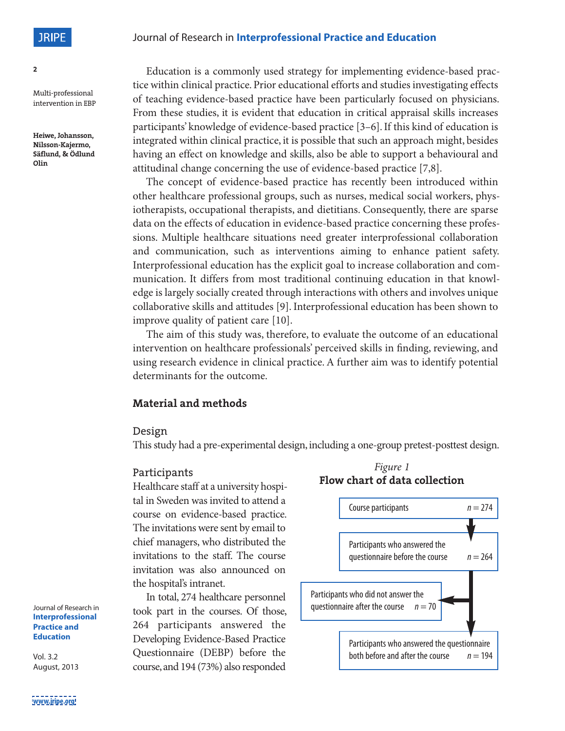

#### Journal of Research in **Interprofessional Practice and Education**

**2**

Multi-professional intervention in EBP

**Heiwe, Johansson, Nilsson-Kajermo, Säflund, & Ödlund Olin**

Education is a commonly used strategy for implementing evidence-based practice within clinical practice. Prior educational efforts and studies investigating effects of teaching evidence-based practice have been particularly focused on physicians. From these studies, it is evident that education in critical appraisal skills increases participants' knowledge of evidence-based practice [3–6].If this kind of education is integrated within clinical practice, it is possible that such an approach might, besides having an effect on knowledge and skills, also be able to support a behavioural and attitudinal change concerning the use of evidence-based practice [7,8].

The concept of evidence-based practice has recently been introduced within other healthcare professional groups, such as nurses, medical social workers, physiotherapists, occupational therapists, and dietitians. Consequently, there are sparse data on the effects of education in evidence-based practice concerning these professions. Multiple healthcare situations need greater interprofessional collaboration and communication, such as interventions aiming to enhance patient safety. Interprofessional education has the explicit goal to increase collaboration and communication. It differs from most traditional continuing education in that knowledge is largely socially created through interactions with others and involves unique collaborative skills and attitudes [9].Interprofessional education has been shown to improve quality of patient care [10].

The aim of this study was, therefore, to evaluate the outcome of an educational intervention on healthcare professionals' perceived skills in finding, reviewing, and using research evidence in clinical practice.A further aim was to identify potential determinants for the outcome.

# **Material and methods**

#### Design

This study had a pre-experimental design, including a one-group pretest-posttest design.

#### Participants

Healthcare staff at a university hospital in Sweden was invited to attend a course on evidence-based practice. The invitations were sent by email to chief managers, who distributed the invitations to the staff. The course invitation was also announced on the hospital's intranet.

In total, 274 healthcare personnel took part in the courses. Of those, 264 participants answered the Developing Evidence-Based Practice Questionnaire (DEBP) before the course,and 194 (73%) also responded

# *Figure 1* **Flow chart of data collection**



Journal of Research in **Interprofessional Practice and Education**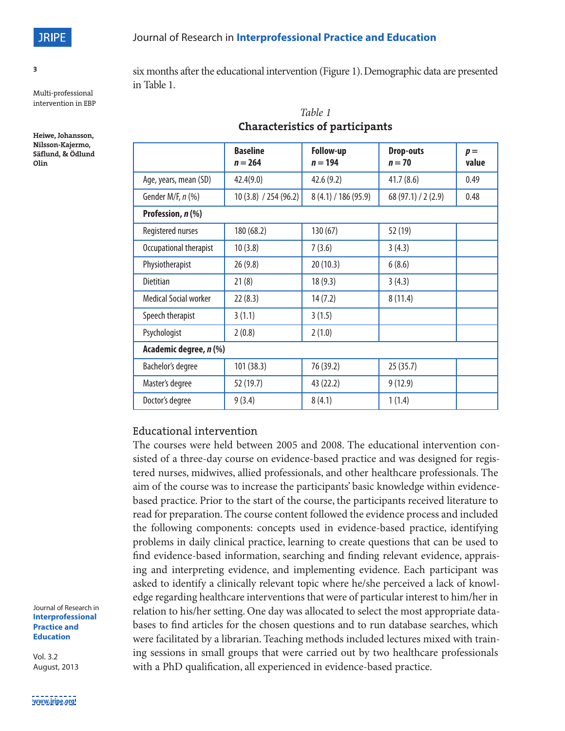Multi-professional intervention in EBP

**Heiwe, Johansson, Nilsson-Kajermo, Säflund, & Ödlund Olin**

#### Journal of Research in **Interprofessional Practice and Education**

six months after the educational intervention (Figure 1). Demographic data are presented in Table 1.

*Table 1* **Characteristics of participants**

|                              | <b>Baseline</b><br>$n = 264$ | Follow-up<br>$n = 194$ | <b>Drop-outs</b><br>$n = 70$ | $p =$<br>value |  |  |
|------------------------------|------------------------------|------------------------|------------------------------|----------------|--|--|
| Age, years, mean (SD)        | 42.4(9.0)                    | 42.6(9.2)              | 41.7(8.6)                    | 0.49           |  |  |
| Gender M/F, n (%)            | 10 (3.8) / 254 (96.2)        | 8(4.1) / 186(95.9)     | 68 (97.1) / 2 (2.9)          | 0.48           |  |  |
| Profession, <i>n</i> (%)     |                              |                        |                              |                |  |  |
| Registered nurses            | 180 (68.2)                   | 130 (67)               | 52 (19)                      |                |  |  |
| Occupational therapist       | 10(3.8)                      | 7(3.6)                 | 3(4.3)                       |                |  |  |
| Physiotherapist              | 26(9.8)                      | 20(10.3)               | 6(8.6)                       |                |  |  |
| <b>Dietitian</b>             | 21(8)                        | 18(9.3)                | 3(4.3)                       |                |  |  |
| <b>Medical Social worker</b> | 22(8.3)                      | 14(7.2)                | 8(11.4)                      |                |  |  |
| Speech therapist             | 3(1.1)                       | 3(1.5)                 |                              |                |  |  |
| Psychologist                 | 2(0.8)                       | 2(1.0)                 |                              |                |  |  |
| Academic degree, n (%)       |                              |                        |                              |                |  |  |
| Bachelor's degree            | 101 (38.3)                   | 76 (39.2)              | 25(35.7)                     |                |  |  |
| Master's degree              | 52 (19.7)                    | 43 (22.2)              | 9(12.9)                      |                |  |  |
| Doctor's degree              | 9(3.4)                       | 8(4.1)                 | 1(1.4)                       |                |  |  |

# Educational intervention

The courses were held between 2005 and 2008. The educational intervention consisted of a three-day course on evidence-based practice and was designed for registered nurses, midwives, allied professionals, and other healthcare professionals. The aim of the course was to increase the participants' basic knowledge within evidencebased practice. Prior to the start of the course, the participants received literature to read for preparation.The course content followed the evidence process and included the following components: concepts used in evidence-based practice, identifying problems in daily clinical practice, learning to create questions that can be used to find evidence-based information, searching and finding relevant evidence, appraising and interpreting evidence, and implementing evidence. Each participant was asked to identify a clinically relevant topic where he/she perceived a lack of knowledge regarding healthcare interventions that were of particular interest to him/her in relation to his/her setting. One day was allocated to select the most appropriate databases to find articles for the chosen questions and to run database searches, which were facilitated by a librarian. Teaching methods included lectures mixed with training sessions in small groups that were carried out by two healthcare professionals with a PhD qualification, all experienced in evidence-based practice.

Journal of Research in **Interprofessional Practice and Education**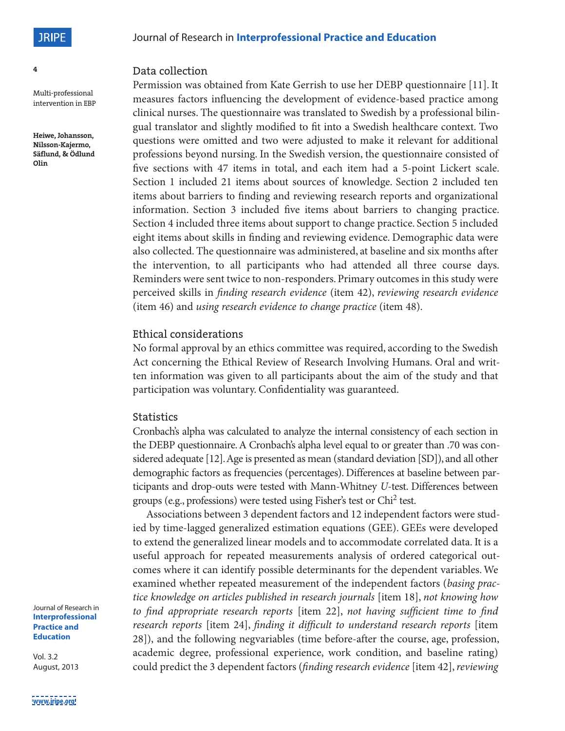

Multi-professional intervention in EBP

**Heiwe, Johansson, Nilsson-Kajermo, Säflund, & Ödlund**

**4**

**Olin**

#### Data collection

Permission was obtained from Kate Gerrish to use her DEBP questionnaire [11]. It measures factors influencing the development of evidence-based practice among clinical nurses. The questionnaire was translated to Swedish by a professional bilingual translator and slightly modified to fit into a Swedish healthcare context. Two questions were omitted and two were adjusted to make it relevant for additional professions beyond nursing. In the Swedish version, the questionnaire consisted of five sections with 47 items in total, and each item had a 5-point Lickert scale. Section 1 included 21 items about sources of knowledge. Section 2 included ten items about barriers to finding and reviewing research reports and organizational information. Section 3 included five items about barriers to changing practice. Section 4 included three items about support to change practice. Section 5 included eight items about skills in finding and reviewing evidence. Demographic data were also collected. The questionnaire was administered, at baseline and six months after the intervention, to all participants who had attended all three course days. Reminders were sent twice to non-responders. Primary outcomes in this study were perceived skills in *finding research evidence* (item 42), *reviewing research evidence* (item 46) and *using research evidence to change practice* (item 48).

#### Ethical considerations

No formal approval by an ethics committee was required, according to the Swedish Act concerning the Ethical Review of Research Involving Humans. Oral and written information was given to all participants about the aim of the study and that participation was voluntary. Confidentiality was guaranteed.

#### **Statistics**

Cronbach's alpha was calculated to analyze the internal consistency of each section in the DEBP questionnaire.A Cronbach's alpha level equal to or greater than .70 was considered adequate [12].Age is presented as mean (standard deviation [SD]), and all other demographic factors as frequencies (percentages). Differences at baseline between participants and drop-outs were tested with Mann-Whitney *U*-test. Differences between groups (e.g., professions) were tested using Fisher's test or Chi<sup>2</sup> test.

Associations between 3 dependent factors and 12 independent factors were studied by time-lagged generalized estimation equations (GEE). GEEs were developed to extend the generalized linear models and to accommodate correlated data. It is a useful approach for repeated measurements analysis of ordered categorical outcomes where it can identify possible determinants for the dependent variables. We examined whether repeated measurement of the independent factors (*basing practice knowledge on articles published in research journals* [item 18], *not knowing how to find appropriate research reports* [item 22], *not having sufficient time to find research reports* [item 24], *finding it difficult to understand research reports* [item 28]), and the following negvariables (time before-after the course, age, profession, academic degree, professional experience, work condition, and baseline rating) could predict the 3 dependent factors (*finding research evidence* [item 42],*reviewing*

Journal of Research in **Interprofessional Practice and Education**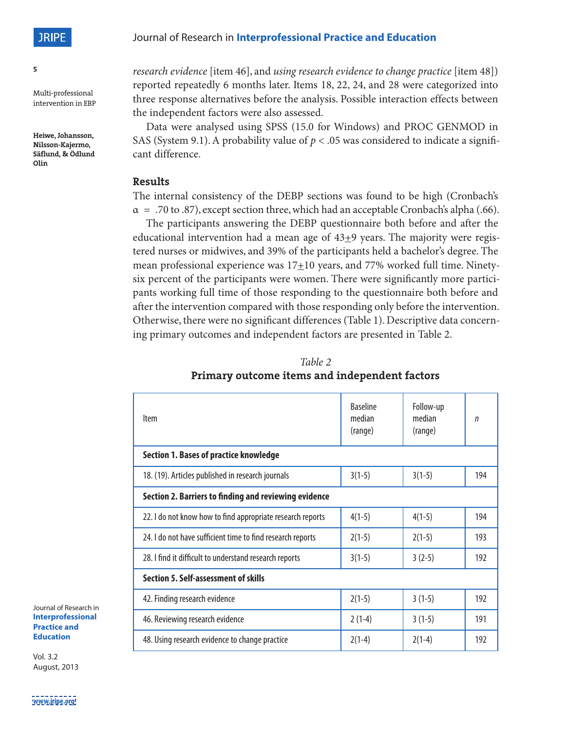

Multi-professional intervention in EBP

**Heiwe, Johansson, Nilsson-Kajermo, Säflund, & Ödlund Olin**

#### Journal of Research in **Interprofessional Practice and Education**

*research evidence* [item 46], and *using research evidence to change practice* [item 48]) reported repeatedly 6 months later. Items 18, 22, 24, and 28 were categorized into three response alternatives before the analysis. Possible interaction effects between the independent factors were also assessed.

Data were analysed using SPSS (15.0 for Windows) and PROC GENMOD in SAS (System 9.1). A probability value of  $p < .05$  was considered to indicate a significant difference.

#### **Results**

The internal consistency of the DEBP sections was found to be high (Cronbach's  $\alpha = .70$  to .87), except section three, which had an acceptable Cronbach's alpha (.66).

The participants answering the DEBP questionnaire both before and after the educational intervention had a mean age of  $43\pm9$  years. The majority were registered nurses or midwives, and 39% of the participants held a bachelor's degree. The mean professional experience was  $17\pm 10$  years, and 77% worked full time. Ninetysix percent of the participants were women. There were significantly more participants working full time of those responding to the questionnaire both before and after the intervention compared with those responding only before the intervention. Otherwise, there were no significant differences (Table 1). Descriptive data concerning primary outcomes and independent factors are presented in Table 2.

| <b>Item</b>                                                | <b>Baseline</b><br>median<br>(range) | Follow-up<br>median<br>(range) | n   |  |  |  |
|------------------------------------------------------------|--------------------------------------|--------------------------------|-----|--|--|--|
| <b>Section 1. Bases of practice knowledge</b>              |                                      |                                |     |  |  |  |
| 18. (19). Articles published in research journals          | $3(1-5)$                             | $3(1-5)$                       | 194 |  |  |  |
| Section 2. Barriers to finding and reviewing evidence      |                                      |                                |     |  |  |  |
| 22. I do not know how to find appropriate research reports | $4(1-5)$                             | $4(1-5)$                       | 194 |  |  |  |
| 24. I do not have sufficient time to find research reports | $2(1-5)$                             | $2(1-5)$                       | 193 |  |  |  |
| 28. I find it difficult to understand research reports     | $3(1-5)$                             | $3(2-5)$                       | 192 |  |  |  |
| <b>Section 5. Self-assessment of skills</b>                |                                      |                                |     |  |  |  |
| 42. Finding research evidence                              | $2(1-5)$                             | $3(1-5)$                       | 192 |  |  |  |
| 46. Reviewing research evidence                            | $2(1-4)$                             | $3(1-5)$                       | 191 |  |  |  |
| 48. Using research evidence to change practice             | $2(1-4)$                             | $2(1-4)$                       | 192 |  |  |  |

*Table 2* **Primary outcome items and independent factors**

Journal of Research in **Interprofessional Practice and Education**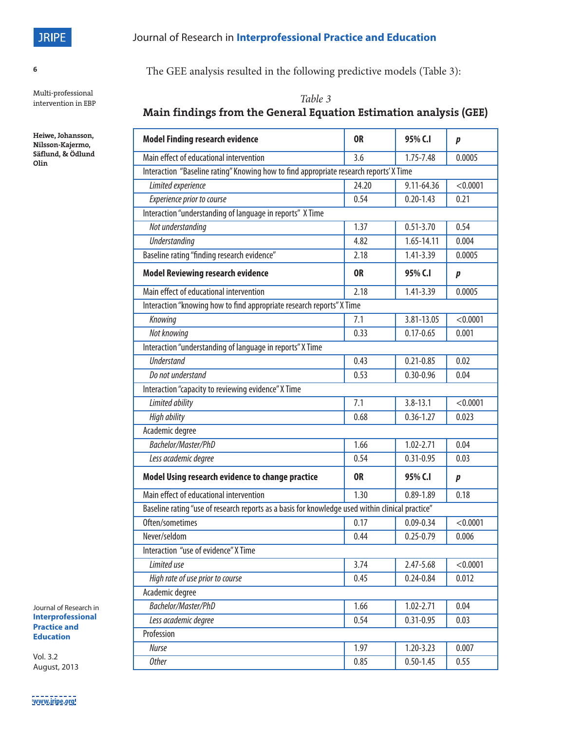

# Journal of Research in **Interprofessional Practice and Education**

**6**

Multi-professional intervention in EBP

**Heiwe, Johansson, Nilsson-Kajermo, Säflund, & Ödlund Olin**

The GEE analysis resulted in the following predictive models (Table 3):

# *Table 3* **Main findings from the General Equation Estimation analysis (GEE)**

| <b>Model Finding research evidence</b>                                                           | 0 <sub>R</sub>                                                        | 95% C.I       | $\boldsymbol{p}$ |  |  |  |
|--------------------------------------------------------------------------------------------------|-----------------------------------------------------------------------|---------------|------------------|--|--|--|
| Main effect of educational intervention                                                          | 3.6                                                                   | $1.75 - 7.48$ | 0.0005           |  |  |  |
| Interaction "Baseline rating" Knowing how to find appropriate research reports' X Time           |                                                                       |               |                  |  |  |  |
| Limited experience                                                                               | 24.20                                                                 | 9.11-64.36    | < 0.0001         |  |  |  |
| Experience prior to course                                                                       | 0.54                                                                  | $0.20 - 1.43$ | 0.21             |  |  |  |
| Interaction "understanding of language in reports" X Time                                        |                                                                       |               |                  |  |  |  |
| Not understanding                                                                                | 1.37                                                                  | $0.51 - 3.70$ | 0.54             |  |  |  |
| <b>Understanding</b>                                                                             | 4.82                                                                  | 1.65-14.11    | 0.004            |  |  |  |
| Baseline rating "finding research evidence"                                                      | 2.18                                                                  | 1.41-3.39     | 0.0005           |  |  |  |
| <b>Model Reviewing research evidence</b>                                                         | <b>OR</b>                                                             | 95% C.I       | $\boldsymbol{p}$ |  |  |  |
| Main effect of educational intervention                                                          | 2.18                                                                  | 1.41-3.39     | 0.0005           |  |  |  |
|                                                                                                  | Interaction "knowing how to find appropriate research reports" X Time |               |                  |  |  |  |
| Knowing                                                                                          | 7.1                                                                   | 3.81-13.05    | < 0.0001         |  |  |  |
| Not knowing                                                                                      | 0.33                                                                  | $0.17 - 0.65$ | 0.001            |  |  |  |
| Interaction "understanding of language in reports" X Time                                        |                                                                       |               |                  |  |  |  |
| <b>Understand</b>                                                                                | 0.43                                                                  | $0.21 - 0.85$ | 0.02             |  |  |  |
| Do not understand                                                                                | 0.53                                                                  | $0.30 - 0.96$ | 0.04             |  |  |  |
| Interaction "capacity to reviewing evidence" X Time                                              |                                                                       |               |                  |  |  |  |
| Limited ability                                                                                  | 7.1                                                                   | $3.8 - 13.1$  | < 0.0001         |  |  |  |
| High ability                                                                                     | 0.68                                                                  | $0.36 - 1.27$ | 0.023            |  |  |  |
| Academic degree                                                                                  |                                                                       |               |                  |  |  |  |
| Bachelor/Master/PhD                                                                              | 1.66                                                                  | $1.02 - 2.71$ | 0.04             |  |  |  |
| Less academic degree                                                                             | 0.54                                                                  | $0.31 - 0.95$ | 0.03             |  |  |  |
| Model Using research evidence to change practice                                                 | <b>OR</b>                                                             | 95% C.I       | $\boldsymbol{p}$ |  |  |  |
| Main effect of educational intervention                                                          | 1.30                                                                  | $0.89 - 1.89$ | 0.18             |  |  |  |
| Baseline rating "use of research reports as a basis for knowledge used within clinical practice" |                                                                       |               |                  |  |  |  |
| Often/sometimes                                                                                  | 0.17                                                                  | $0.09 - 0.34$ | < 0.0001         |  |  |  |
| Never/seldom                                                                                     | 0.44                                                                  | $0.25 - 0.79$ | 0.006            |  |  |  |
| Interaction "use of evidence" X Time                                                             |                                                                       |               |                  |  |  |  |
| Limited use                                                                                      | 3.74                                                                  | 2.47-5.68     | < 0.0001         |  |  |  |
| High rate of use prior to course                                                                 | 0.45                                                                  | $0.24 - 0.84$ | 0.012            |  |  |  |
| Academic degree                                                                                  |                                                                       |               |                  |  |  |  |
| Bachelor/Master/PhD                                                                              | 1.66                                                                  | $1.02 - 2.71$ | 0.04             |  |  |  |
| Less academic degree                                                                             | 0.54                                                                  | $0.31 - 0.95$ | 0.03             |  |  |  |
| Profession                                                                                       |                                                                       |               |                  |  |  |  |
| Nurse                                                                                            | 1.97                                                                  | $1.20 - 3.23$ | 0.007            |  |  |  |
| <b>Other</b>                                                                                     | 0.85                                                                  | $0.50 - 1.45$ | 0.55             |  |  |  |

Journal of Research in **Interprofessional Practice and Education**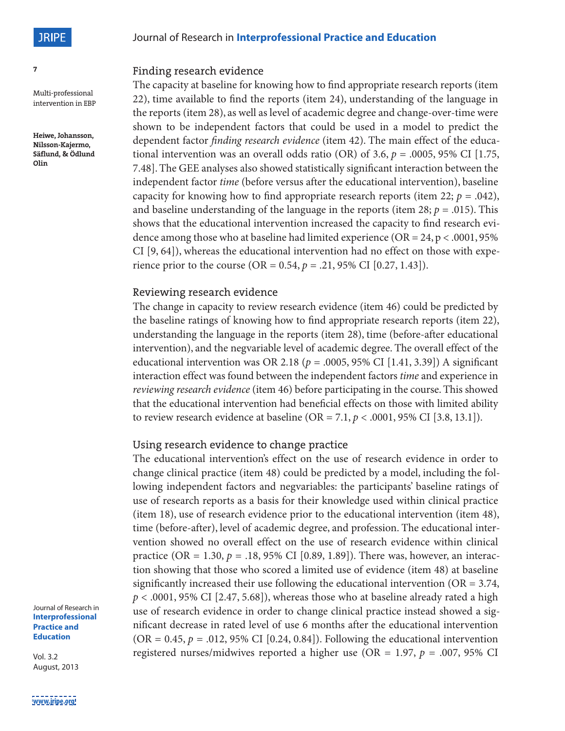

Multi-professional intervention in EBP

**Heiwe, Johansson, Nilsson-Kajermo, Säflund, & Ödlund**

**7**

**Olin**

# Journal of Research in **Interprofessional Practice and Education**

## Finding research evidence

The capacity at baseline for knowing how to find appropriate research reports (item 22), time available to find the reports (item 24), understanding of the language in the reports (item 28), as well as level of academic degree and change-over-time were shown to be independent factors that could be used in a model to predict the dependent factor *finding research evidence* (item 42). The main effect of the educational intervention was an overall odds ratio (OR) of 3.6,  $p = .0005$ , 95% CI [1.75, 7.48].The GEE analyses also showed statistically significant interaction between the independent factor *time* (before versus after the educational intervention), baseline capacity for knowing how to find appropriate research reports (item 22;  $p = .042$ ), and baseline understanding of the language in the reports (item 28;  $p = .015$ ). This shows that the educational intervention increased the capacity to find research evidence among those who at baseline had limited experience (OR = 24, p < .0001, 95% CI [9, 64]), whereas the educational intervention had no effect on those with experience prior to the course (OR =  $0.54$ ,  $p = .21$ , 95% CI [0.27, 1.43]).

# Reviewing research evidence

The change in capacity to review research evidence (item 46) could be predicted by the baseline ratings of knowing how to find appropriate research reports (item 22), understanding the language in the reports (item 28), time (before-after educational intervention), and the negvariable level of academic degree. The overall effect of the educational intervention was OR 2.18 ( $p = .0005, 95\%$  CI [1.41, 3.39]) A significant interaction effect was found between the independent factors *time* and experience in *reviewing research evidence* (item 46) before participating in the course.This showed that the educational intervention had beneficial effects on those with limited ability to review research evidence at baseline (OR = 7.1, *p* < .0001, 95% CI [3.8, 13.1]).

# Using research evidence to change practice

The educational intervention's effect on the use of research evidence in order to change clinical practice (item 48) could be predicted by a model, including the following independent factors and negvariables: the participants' baseline ratings of use of research reports as a basis for their knowledge used within clinical practice (item 18), use of research evidence prior to the educational intervention (item 48), time (before-after), level of academic degree, and profession. The educational intervention showed no overall effect on the use of research evidence within clinical practice (OR =  $1.30, p = .18, 95\%$  CI [0.89, 1.89]). There was, however, an interaction showing that those who scored a limited use of evidence (item 48) at baseline significantly increased their use following the educational intervention ( $OR = 3.74$ ,  $p < .0001$ , 95% CI [2.47, 5.68]), whereas those who at baseline already rated a high use of research evidence in order to change clinical practice instead showed a significant decrease in rated level of use 6 months after the educational intervention (OR =  $0.45$ ,  $p = .012$ , 95% CI [0.24, 0.84]). Following the educational intervention registered nurses/midwives reported a higher use (OR = 1.97, *p* = .007, 95% CI

Journal of Research in **Interprofessional Practice and Education**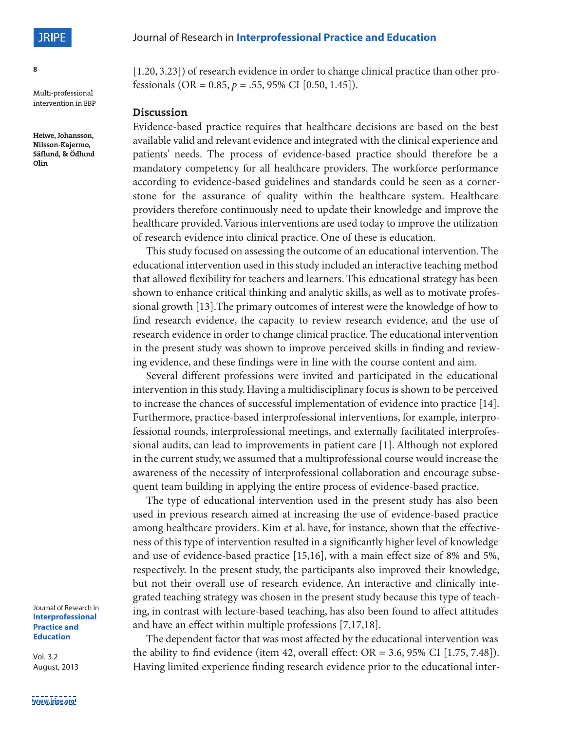Multi-professional intervention in EBP

**Heiwe, Johansson, Nilsson-Kajermo, Säflund, & Ödlund Olin**

Journal of Research in **Interprofessional Practice and Education**

[1.20, 3.23]) of research evidence in order to change clinical practice than other professionals (OR = 0.85, *p* = .55, 95% CI [0.50, 1.45]).

# **Discussion**

Evidence-based practice requires that healthcare decisions are based on the best available valid and relevant evidence and integrated with the clinical experience and patients' needs. The process of evidence-based practice should therefore be a mandatory competency for all healthcare providers. The workforce performance according to evidence-based guidelines and standards could be seen as a cornerstone for the assurance of quality within the healthcare system. Healthcare providers therefore continuously need to update their knowledge and improve the healthcare provided.Various interventions are used today to improve the utilization of research evidence into clinical practice. One of these is education.

This study focused on assessing the outcome of an educational intervention.The educational intervention used in this study included an interactive teaching method that allowed flexibility for teachers and learners. This educational strategy has been shown to enhance critical thinking and analytic skills, as well as to motivate professional growth [13].The primary outcomes of interest were the knowledge of how to find research evidence, the capacity to review research evidence, and the use of research evidence in order to change clinical practice. The educational intervention in the present study was shown to improve perceived skills in finding and reviewing evidence, and these findings were in line with the course content and aim.

Several different professions were invited and participated in the educational intervention in this study. Having a multidisciplinary focus is shown to be perceived to increase the chances of successful implementation of evidence into practice [14]. Furthermore, practice-based interprofessional interventions, for example, interprofessional rounds, interprofessional meetings, and externally facilitated interprofessional audits, can lead to improvements in patient care [1]. Although not explored in the current study,we assumed that a multiprofessional course would increase the awareness of the necessity of interprofessional collaboration and encourage subsequent team building in applying the entire process of evidence-based practice.

The type of educational intervention used in the present study has also been used in previous research aimed at increasing the use of evidence-based practice among healthcare providers. Kim et al. have, for instance, shown that the effectiveness of this type of intervention resulted in a significantly higher level of knowledge and use of evidence-based practice [15,16], with a main effect size of 8% and 5%, respectively. In the present study, the participants also improved their knowledge, but not their overall use of research evidence. An interactive and clinically integrated teaching strategy was chosen in the present study because this type of teaching, in contrast with lecture-based teaching, has also been found to affect attitudes and have an effect within multiple professions [7,17,18].

The dependent factor that was most affected by the educational intervention was the ability to find evidence (item 42, overall effect:  $OR = 3.6$ , 95% CI [1.75, 7.48]). Having limited experience finding research evidence prior to the educational inter-

Journal of Research in **Interprofessional Practice and Education**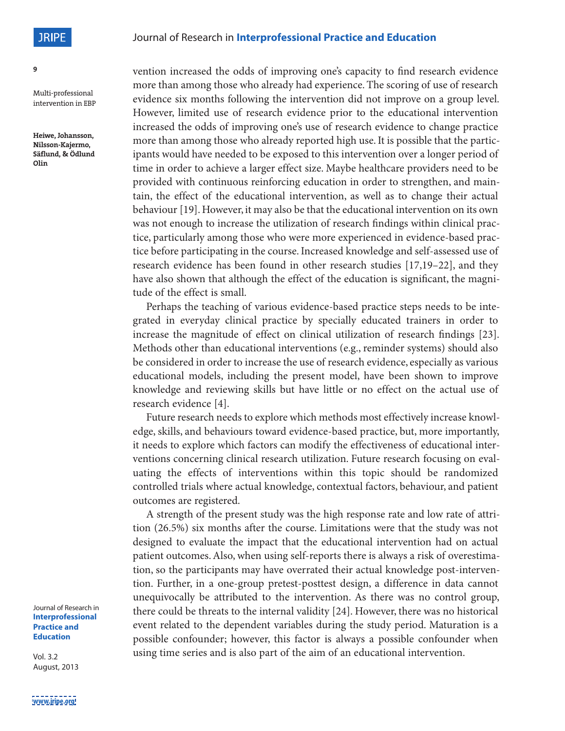

#### Journal of Research in **Interprofessional Practice and Education**

Multi-professional intervention in EBP

**Heiwe, Johansson, Nilsson-Kajermo, Säflund, & Ödlund Olin**

vention increased the odds of improving one's capacity to find research evidence more than among those who already had experience. The scoring of use of research evidence six months following the intervention did not improve on a group level. However, limited use of research evidence prior to the educational intervention increased the odds of improving one's use of research evidence to change practice more than among those who already reported high use. It is possible that the participants would have needed to be exposed to this intervention over a longer period of time in order to achieve a larger effect size. Maybe healthcare providers need to be provided with continuous reinforcing education in order to strengthen, and maintain, the effect of the educational intervention, as well as to change their actual behaviour [19].However, it may also be that the educational intervention on its own was not enough to increase the utilization of research findings within clinical practice, particularly among those who were more experienced in evidence-based practice before participating in the course.Increased knowledge and self-assessed use of research evidence has been found in other research studies [17,19–22], and they have also shown that although the effect of the education is significant, the magnitude of the effect is small.

Perhaps the teaching of various evidence-based practice steps needs to be integrated in everyday clinical practice by specially educated trainers in order to increase the magnitude of effect on clinical utilization of research findings [23]. Methods other than educational interventions (e.g., reminder systems) should also be considered in order to increase the use of research evidence, especially as various educational models, including the present model, have been shown to improve knowledge and reviewing skills but have little or no effect on the actual use of research evidence [4].

Future research needs to explore which methods most effectively increase knowledge, skills, and behaviours toward evidence-based practice, but, more importantly, it needs to explore which factors can modify the effectiveness of educational interventions concerning clinical research utilization. Future research focusing on evaluating the effects of interventions within this topic should be randomized controlled trials where actual knowledge, contextual factors, behaviour, and patient outcomes are registered.

A strength of the present study was the high response rate and low rate of attrition (26.5%) six months after the course. Limitations were that the study was not designed to evaluate the impact that the educational intervention had on actual patient outcomes.Also, when using self-reports there is always a risk of overestimation, so the participants may have overrated their actual knowledge post-intervention. Further, in a one-group pretest-posttest design, a difference in data cannot unequivocally be attributed to the intervention. As there was no control group, there could be threats to the internal validity [24]. However, there was no historical event related to the dependent variables during the study period. Maturation is a possible confounder; however, this factor is always a possible confounder when using time series and is also part of the aim of an educational intervention.

Journal of Research in **Interprofessional Practice and Education**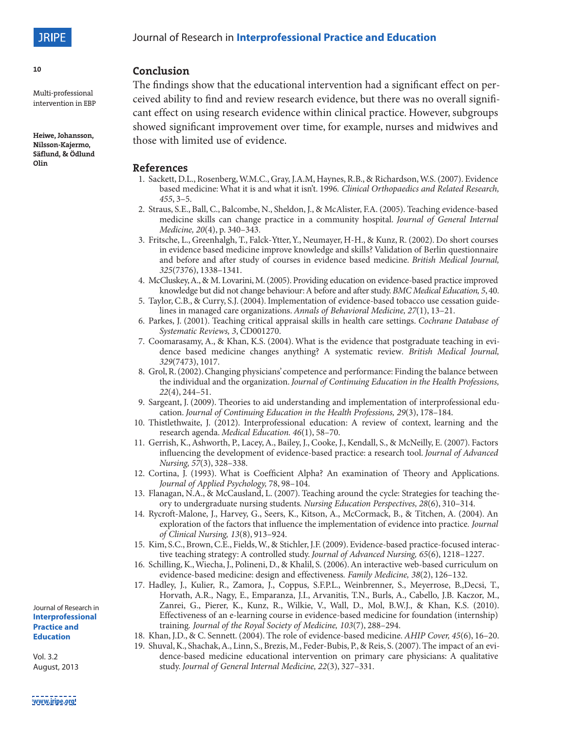Multi-professional intervention in EBP

**Heiwe, Johansson, Nilsson-Kajermo, Säflund, & Ödlund Olin**

# **Conclusion**

The findings show that the educational intervention had a significant effect on perceived ability to find and review research evidence, but there was no overall significant effect on using research evidence within clinical practice. However, subgroups showed significant improvement over time, for example, nurses and midwives and those with limited use of evidence.

#### **References**

- 1. Sackett, D.L., Rosenberg,W.M.C., Gray, J.A.M, Haynes, R.B., & Richardson,W.S.(2007). Evidence based medicine: What it is and what it isn't. 1996*. Clinical Orthopaedics and Related Research, 455*, 3–5.
- 2. Straus, S.E., Ball, C., Balcombe, N., Sheldon, J., & McAlister, F.A. (2005). Teaching evidence-based medicine skills can change practice in a community hospital. *Journal of General Internal Medicine, 20*(4), p. 340–343.
- 3. Fritsche, L., Greenhalgh, T., Falck-Ytter,Y., Neumayer, H-H., & Kunz, R. (2002). Do short courses in evidence based medicine improve knowledge and skills? Validation of Berlin questionnaire and before and after study of courses in evidence based medicine. *British Medical Journal, 325*(7376), 1338–1341.
- 4. McCluskey,A., & M. Lovarini,M.(2005). Providing education on evidence-based practice improved knowledge but did not change behaviour:A before and afterstudy.*BMC Medical Education, 5*, 40.
- 5. Taylor, C.B., & Curry, S.J.(2004). Implementation of evidence-based tobacco use cessation guidelines in managed care organizations. *Annals of Behavioral Medicine, 27*(1), 13–21.
- 6. Parkes, J. (2001). Teaching critical appraisal skills in health care settings. *Cochrane Database of Systematic Reviews, 3*, CD001270.
- 7. Coomarasamy, A., & Khan, K.S. (2004). What is the evidence that postgraduate teaching in evidence based medicine changes anything? A systematic review*. British Medical Journal, 329*(7473), 1017.
- 8. Grol,R.(2002).Changing physicians' competence and performance: Finding the balance between the individual and the organization. *Journal of Continuing Education in the Health Professions, 22*(4), 244–51.
- 9. Sargeant, J. (2009). Theories to aid understanding and implementation of interprofessional education. *Journal of Continuing Education in the Health Professions, 29*(3), 178–184.
- 10. Thistlethwaite, J. (2012). Interprofessional education: A review of context, learning and the research agenda. *Medical Education. 46*(1), 58–70.
- 11. Gerrish, K.,Ashworth, P., Lacey,A., Bailey, J., Cooke, J., Kendall, S., & McNeilly, E. (2007). Factors influencing the development of evidence-based practice: a research tool. *Journal of Advanced Nursing, 57*(3), 328–338.
- 12. Cortina, J. (1993). What is Coefficient Alpha? An examination of Theory and Applications. *Journal of Applied Psychology,* 78, 98–104.
- 13. Flanagan, N.A., & McCausland, L. (2007). Teaching around the cycle: Strategies for teaching theory to undergraduate nursing students*. Nursing Education Perspectives, 28*(6), 310–314.
- 14. Rycroft-Malone, J., Harvey, G., Seers, K., Kitson, A., McCormack, B., & Titchen, A. (2004). An exploration of the factors that influence the implementation of evidence into practice*. Journal of Clinical Nursing, 13*(8), 913–924.
- 15. Kim, S.C., Brown,C.E., Fields,W., & Stichler,J.F.(2009). Evidence-based practice-focused interactive teaching strategy: A controlled study. *Journal of Advanced Nursing, 65*(6), 1218–1227.
- 16. Schilling,K.,Wiecha, J., Polineni, D., & Khalil, S.(2006).An interactive web-based curriculum on evidence-based medicine: design and effectiveness*. Family Medicine, 38*(2), 126–132.
- 17. Hadley, J., Kulier, R., Zamora, J., Coppus, S.F.P.L., Weinbrenner, S., Meyerrose, B.,Decsi, T., Horvath, A.R., Nagy, E., Emparanza, J.I., Arvanitis, T.N., Burls, A., Cabello, J.B. Kaczor, M., Zanrei, G., Pierer, K., Kunz, R., Wilkie, V., Wall, D., Mol, B.W.J., & Khan, K.S. (2010). Effectiveness of an e-learning course in evidence-based medicine for foundation (internship) training*. Journal of the Royal Society of Medicine, 103*(7), 288–294.
- 18. Khan, J.D., & C. Sennett. (2004). The role of evidence-based medicine. *AHIP Cover, 45*(6), 16–20.
- 19. Shuval,K., Shachak,A., Linn, S., Brezis,M., Feder-Bubis, P., & Reis, S.(2007).The impact of an evidence-based medicine educational intervention on primary care physicians: A qualitative study. *Journal of General Internal Medicine, 22*(3), 327–331.

Journal of Research in **Interprofessional Practice and Education**